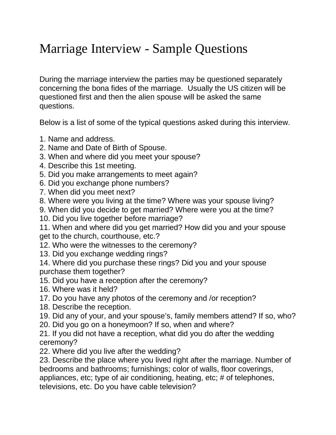## Marriage Interview - Sample Questions

During the marriage interview the parties may be questioned separately concerning the bona fides of the marriage. Usually the US citizen will be questioned first and then the alien spouse will be asked the same questions.

Below is a list of some of the typical questions asked during this interview.

- 1. Name and address.
- 2. Name and Date of Birth of Spouse.
- 3. When and where did you meet your spouse?
- 4. Describe this 1st meeting.
- 5. Did you make arrangements to meet again?
- 6. Did you exchange phone numbers?
- 7. When did you meet next?
- 8. Where were you living at the time? Where was your spouse living?
- 9. When did you decide to get married? Where were you at the time?
- 10. Did you live together before marriage?

11. When and where did you get married? How did you and your spouse get to the church, courthouse, etc.?

- 12. Who were the witnesses to the ceremony?
- 13. Did you exchange wedding rings?
- 14. Where did you purchase these rings? Did you and your spouse purchase them together?
- 15. Did you have a reception after the ceremony?
- 16. Where was it held?
- 17. Do you have any photos of the ceremony and /or reception?
- 18. Describe the reception.
- 19. Did any of your, and your spouse's, family members attend? If so, who?
- 20. Did you go on a honeymoon? If so, when and where?
- 21. If you did not have a reception, what did you do after the wedding ceremony?
- 22. Where did you live after the wedding?
- 23. Describe the place where you lived right after the marriage. Number of bedrooms and bathrooms; furnishings; color of walls, floor coverings,

appliances, etc; type of air conditioning, heating, etc; # of telephones,

televisions, etc. Do you have cable television?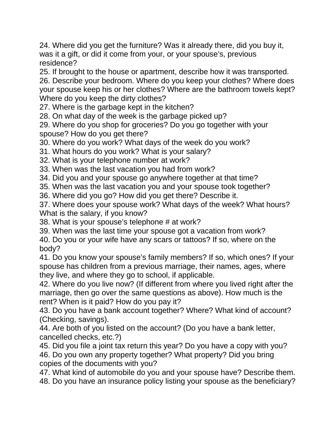24. Where did you get the furniture? Was it already there, did you buy it, was it a gift, or did it come from your, or your spouse's, previous residence?

25. If brought to the house or apartment, describe how it was transported.

26. Describe your bedroom. Where do you keep your clothes? Where does your spouse keep his or her clothes? Where are the bathroom towels kept? Where do you keep the dirty clothes?

27. Where is the garbage kept in the kitchen?

28. On what day of the week is the garbage picked up?

29. Where do you shop for groceries? Do you go together with your spouse? How do you get there?

30. Where do you work? What days of the week do you work?

31. What hours do you work? What is your salary?

32. What is your telephone number at work?

33. When was the last vacation you had from work?

34. Did you and your spouse go anywhere together at that time?

35. When was the last vacation you and your spouse took together?

36. Where did you go? How did you get there? Describe it.

37. Where does your spouse work? What days of the week? What hours? What is the salary, if you know?

38. What is your spouse's telephone # at work?

39. When was the last time your spouse got a vacation from work?

40. Do you or your wife have any scars or tattoos? If so, where on the body?

41. Do you know your spouse's family members? If so, which ones? If your spouse has children from a previous marriage, their names, ages, where they live, and where they go to school, if applicable.

42. Where do you live now? (If different from where you lived right after the marriage, then go over the same questions as above). How much is the rent? When is it paid? How do you pay it?

43. Do you have a bank account together? Where? What kind of account? (Checking, savings).

44. Are both of you listed on the account? (Do you have a bank letter, cancelled checks, etc.?)

45. Did you file a joint tax return this year? Do you have a copy with you? 46. Do you own any property together? What property? Did you bring copies of the documents with you?

47. What kind of automobile do you and your spouse have? Describe them. 48. Do you have an insurance policy listing your spouse as the beneficiary?